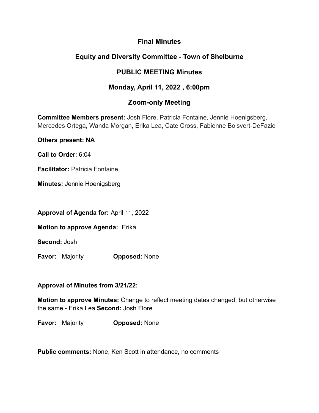## **Final MInutes**

# **Equity and Diversity Committee - Town of Shelburne**

## **PUBLIC MEETING Minutes**

# **Monday, April 11, 2022 , 6:00pm**

# **Zoom-only Meeting**

**Committee Members present:** Josh Flore, Patricia Fontaine, Jennie Hoenigsberg, Mercedes Ortega, Wanda Morgan, Erika Lea, Cate Cross, Fabienne Boisvert-DeFazio

**Others present: NA**

**Call to Order**: 6:04

**Facilitator:** Patricia Fontaine

**Minutes:** Jennie Hoenigsberg

**Approval of Agenda for:** April 11, 2022

**Motion to approve Agenda:** Erika

**Second:** Josh

**Favor:** Majority **Opposed:** None

## **Approval of Minutes from 3/21/22:**

**Motion to approve Minutes:** Change to reflect meeting dates changed, but otherwise the same - Erika Lea **Second:** Josh Flore

**Favor:** Majority **Opposed:** None

**Public comments:** None, Ken Scott in attendance, no comments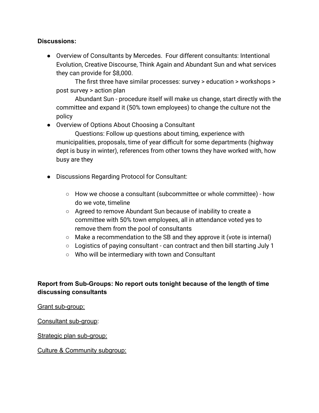### **Discussions:**

● Overview of Consultants by Mercedes. Four different consultants: Intentional Evolution, Creative Discourse, Think Again and Abundant Sun and what services they can provide for \$8,000.

The first three have similar processes: survey > education > workshops > post survey > action plan

Abundant Sun - procedure itself will make us change, start directly with the committee and expand it (50% town employees) to change the culture not the policy

● Overview of Options About Choosing a Consultant

Questions: Follow up questions about timing, experience with municipalities, proposals, time of year difficult for some departments (highway dept is busy in winter), references from other towns they have worked with, how busy are they

- Discussions Regarding Protocol for Consultant:
	- How we choose a consultant (subcommittee or whole committee) how do we vote, timeline
	- Agreed to remove Abundant Sun because of inability to create a committee with 50% town employees, all in attendance voted yes to remove them from the pool of consultants
	- Make a recommendation to the SB and they approve it (vote is internal)
	- Logistics of paying consultant can contract and then bill starting July 1
	- Who will be intermediary with town and Consultant

## **Report from Sub-Groups: No report outs tonight because of the length of time discussing consultants**

Grant sub-group:

Consultant sub-group:

Strategic plan sub-group:

Culture & Community subgroup: